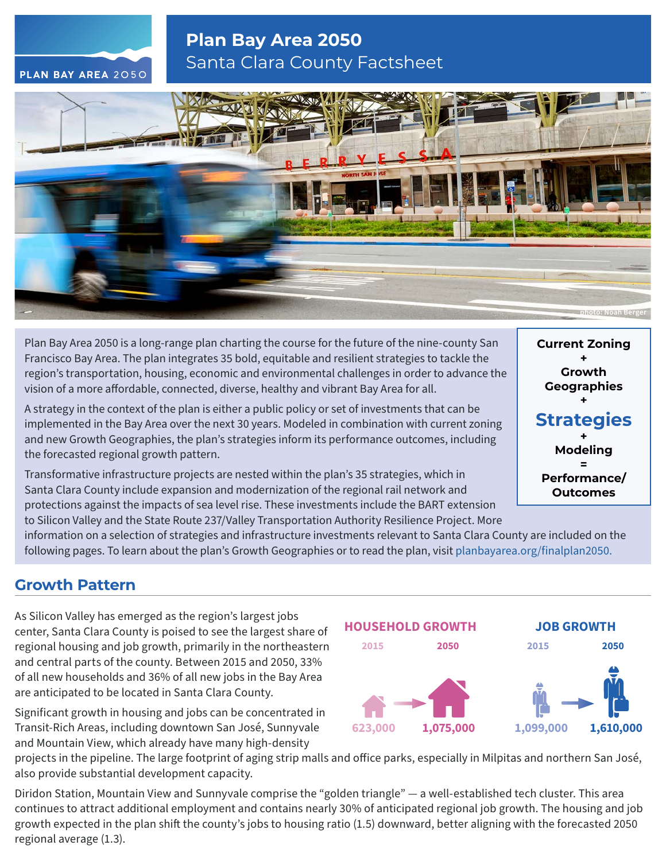# **Plan Bay Area 2050** Santa Clara County Factsheet



Plan Bay Area 2050 is a long-range plan charting the course for the future of the nine-county San Francisco Bay Area. The plan integrates 35 bold, equitable and resilient strategies to tackle the region's transportation, housing, economic and environmental challenges in order to advance the vision of a more affordable, connected, diverse, healthy and vibrant Bay Area for all.

A strategy in the context of the plan is either a public policy or set of investments that can be implemented in the Bay Area over the next 30 years. Modeled in combination with current zoning and new Growth Geographies, the plan's strategies inform its performance outcomes, including the forecasted regional growth pattern.

Transformative infrastructure projects are nested within the plan's 35 strategies, which in Santa Clara County include expansion and modernization of the regional rail network and protections against the impacts of sea level rise. These investments include the BART extension to Silicon Valley and the State Route 237/Valley Transportation Authority Resilience Project. More

**Current Zoning + Growth Geographies + Strategies + Modeling = Performance/ Outcomes**

information on a selection of strategies and infrastructure investments relevant to Santa Clara County are included on the following pages. To learn about the plan's Growth Geographies or to read the plan, visit [planbayarea.org/finalplan2050.](https://www.planbayarea.org/finalplan2050)

## **Growth Pattern**

As Silicon Valley has emerged as the region's largest jobs center, Santa Clara County is poised to see the largest share of regional housing and job growth, primarily in the northeastern and central parts of the county. Between 2015 and 2050, 33% of all new households and 36% of all new jobs in the Bay Area are anticipated to be located in Santa Clara County.

Significant growth in housing and jobs can be concentrated in Transit-Rich Areas, including downtown San José, Sunnyvale and Mountain View, which already have many high-density



projects in the pipeline. The large footprint of aging strip malls and office parks, especially in Milpitas and northern San José, also provide substantial development capacity.

Diridon Station, Mountain View and Sunnyvale comprise the "golden triangle" — a well-established tech cluster. This area continues to attract additional employment and contains nearly 30% of anticipated regional job growth. The housing and job growth expected in the plan shift the county's jobs to housing ratio (1.5) downward, better aligning with the forecasted 2050 regional average (1.3).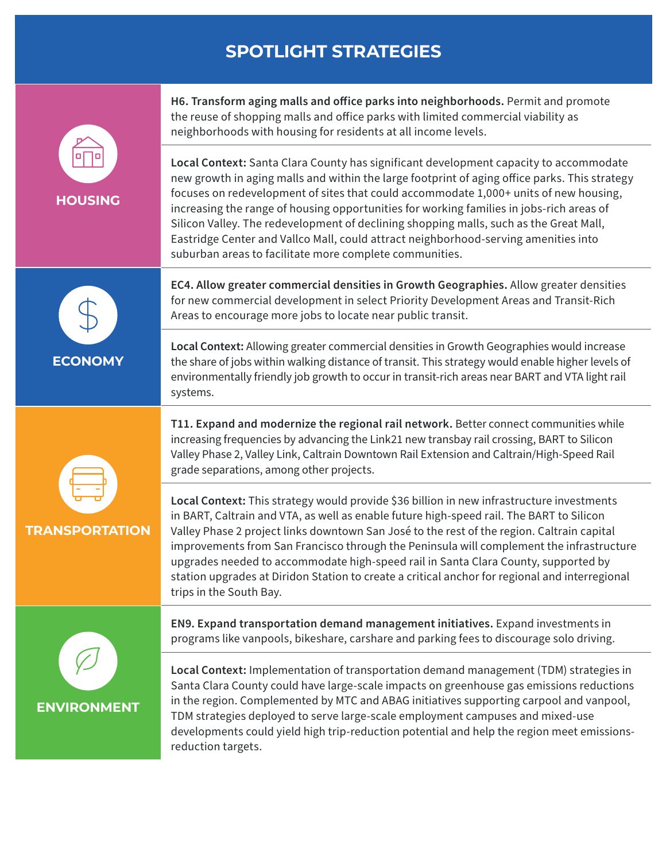# **SPOTLIGHT STRATEGIES**



**TRANSPORTATION**

**H6. Transform aging malls and office parks into neighborhoods.** Permit and promote the reuse of shopping malls and office parks with limited commercial viability as neighborhoods with housing for residents at all income levels.

**Local Context:** Santa Clara County has significant development capacity to accommodate new growth in aging malls and within the large footprint of aging office parks. This strategy focuses on redevelopment of sites that could accommodate 1,000+ units of new housing, increasing the range of housing opportunities for working families in jobs-rich areas of Silicon Valley. The redevelopment of declining shopping malls, such as the Great Mall, Eastridge Center and Vallco Mall, could attract neighborhood-serving amenities into suburban areas to facilitate more complete communities.

**EC4. Allow greater commercial densities in Growth Geographies.** Allow greater densities for new commercial development in select Priority Development Areas and Transit-Rich Areas to encourage more jobs to locate near public transit.

**Local Context:** Allowing greater commercial densities in Growth Geographies would increase the share of jobs within walking distance of transit. This strategy would enable higher levels of environmentally friendly job growth to occur in transit-rich areas near BART and VTA light rail systems.

**T11. Expand and modernize the regional rail network.** Better connect communities while increasing frequencies by advancing the Link21 new transbay rail crossing, BART to Silicon Valley Phase 2, Valley Link, Caltrain Downtown Rail Extension and Caltrain/High-Speed Rail grade separations, among other projects.

**Local Context:** This strategy would provide \$36 billion in new infrastructure investments in BART, Caltrain and VTA, as well as enable future high-speed rail. The BART to Silicon Valley Phase 2 project links downtown San José to the rest of the region. Caltrain capital improvements from San Francisco through the Peninsula will complement the infrastructure upgrades needed to accommodate high-speed rail in Santa Clara County, supported by station upgrades at Diridon Station to create a critical anchor for regional and interregional trips in the South Bay.



**EN9. Expand transportation demand management initiatives.** Expand investments in programs like vanpools, bikeshare, carshare and parking fees to discourage solo driving.

**Local Context:** Implementation of transportation demand management (TDM) strategies in Santa Clara County could have large-scale impacts on greenhouse gas emissions reductions in the region. Complemented by MTC and ABAG initiatives supporting carpool and vanpool, TDM strategies deployed to serve large-scale employment campuses and mixed-use developments could yield high trip-reduction potential and help the region meet emissionsreduction targets.